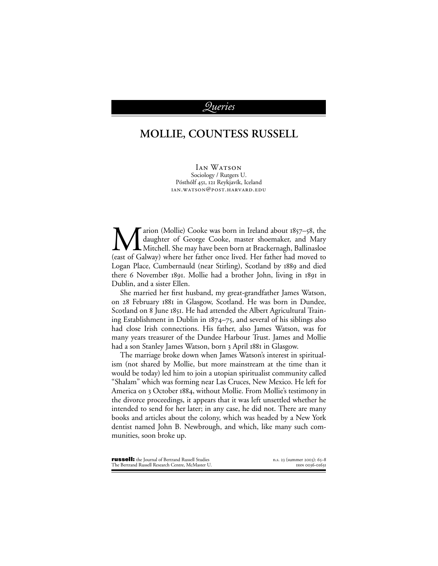## *ueries*

## **MOLLIE, COUNTESS RUSSELL**

**IAN WATSON** Sociology / Rutgers U. Pósthólf 451, 121 Reykjavík, Iceland IAN.WATSON@POST.HARVARD.EDU

arion (Mollie) Cooke was born in Ireland about  $1857 - 58$ , the daughter of George Cooke, master shoemaker, and Mary Mitchell. She may have been born at Brackernagh, Ballinasloe (east of Galway) where her father once lived. Her father had moved to Logan Place, Cumbernauld (near Stirling), Scotland by 1889 and died there 6 November 1891. Mollie had a brother John, living in 1891 in Dublin, and a sister Ellen.

She married her first husband, my great-grandfather James Watson, on 28 February 1881 in Glasgow, Scotland. He was born in Dundee, Scotland on 8 June 1851. He had attended the Albert Agricultural Training Establishment in Dublin in  $1874-75$ , and several of his siblings also had close Irish connections. His father, also James Watson, was for many years treasurer of the Dundee Harbour Trust. James and Mollie had a son Stanley James Watson, born 3 April 1881 in Glasgow.

The marriage broke down when James Watson's interest in spiritualism (not shared by Mollie, but more mainstream at the time than it would be today) led him to join a utopian spiritualist community called "Shalam" which was forming near Las Cruces, New Mexico. He left for America on 3 October 1884, without Mollie. From Mollie's testimony in the divorce proceedings, it appears that it was left unsettled whether he intended to send for her later; in any case, he did not. There are many books and articles about the colony, which was headed by a New York dentist named John B. Newbrough, and which, like many such communities, soon broke up.

| <b>russell:</b> the Journal of Bertrand Russell Studies | n.s. 23 (summer 2003): 65–8 |
|---------------------------------------------------------|-----------------------------|
| The Bertrand Russell Research Centre, McMaster U.       | ISSN 0036-01631             |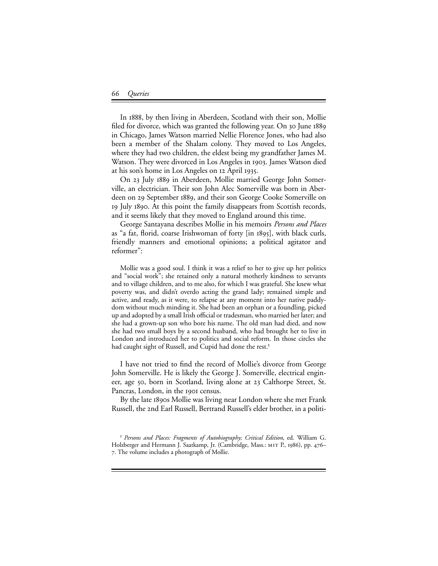## *Queries*

In 1888, by then living in Aberdeen, Scotland with their son, Mollie filed for divorce, which was granted the following year. On 30 June 1889 in Chicago, James Watson married Nellie Florence Jones, who had also been a member of the Shalam colony. They moved to Los Angeles, where they had two children, the eldest being my grandfather James M. Watson. They were divorced in Los Angeles in 1903. James Watson died at his son's home in Los Angeles on 12 April 1935.

On 23 July 1889 in Aberdeen, Mollie married George John Somerville, an electrician. Their son John Alec Somerville was born in Aberdeen on 29 September 1889, and their son George Cooke Somerville on July . At this point the family disappears from Scottish records, and it seems likely that they moved to England around this time.

George Santayana describes Mollie in his memoirs *Persons and Places* as "a fat, florid, coarse Irishwoman of forty  $\vert$  in 1895, with black curls, friendly manners and emotional opinions; a political agitator and reformer":

Mollie was a good soul. I think it was a relief to her to give up her politics and "social work"; she retained only a natural motherly kindness to servants and to village children, and to me also, for which I was grateful. She knew what poverty was, and didn't overdo acting the grand lady; remained simple and active, and ready, as it were, to relapse at any moment into her native paddydom without much minding it. She had been an orphan or a foundling, picked up and adopted by a small Irish official or tradesman, who married her later; and she had a grown-up son who bore his name. The old man had died, and now she had two small boys by a second husband, who had brought her to live in London and introduced her to politics and social reform. In those circles she had caught sight of Russell, and Cupid had done the rest.<sup>1</sup>

I have not tried to find the record of Mollie's divorce from George John Somerville. He is likely the George J. Somerville, electrical engineer, age 50, born in Scotland, living alone at 23 Calthorpe Street, St. Pancras, London, in the 1901 census.

By the late 1890s Mollie was living near London where she met Frank Russell, the 2nd Earl Russell, Bertrand Russell's elder brother, in a politi-

*Persons and Places: Fragments of Autobiography; Critical Edition*, ed. William G. Holzberger and Hermann J. Saatkamp, Jr. (Cambridge, Mass.: MIT P., 1986), pp. 476– . The volume includes a photograph of Mollie.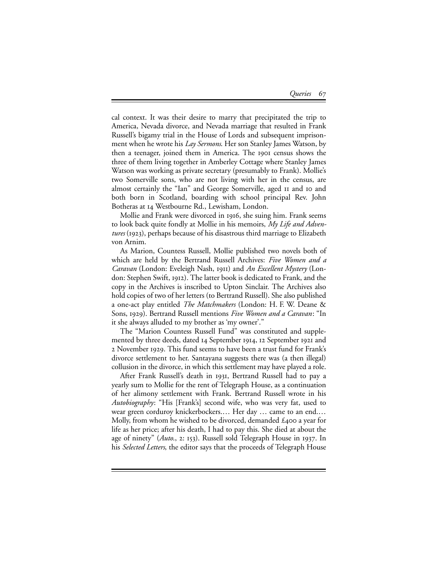cal context. It was their desire to marry that precipitated the trip to America, Nevada divorce, and Nevada marriage that resulted in Frank Russell's bigamy trial in the House of Lords and subsequent imprisonment when he wrote his *Lay Sermons*. Her son Stanley James Watson, by then a teenager, joined them in America. The 1901 census shows the three of them living together in Amberley Cottage where Stanley James Watson was working as private secretary (presumably to Frank). Mollie's two Somerville sons, who are not living with her in the census, are almost certainly the "Ian" and George Somerville, aged II and Io and both born in Scotland, boarding with school principal Rev. John Botheras at Westbourne Rd., Lewisham, London.

Mollie and Frank were divorced in 1916, she suing him. Frank seems to look back quite fondly at Mollie in his memoirs, *My Life and Adventures* (1923), perhaps because of his disastrous third marriage to Elizabeth von Arnim.

As Marion, Countess Russell, Mollie published two novels both of which are held by the Bertrand Russell Archives: *Five Women and a Caravan* (London: Eveleigh Nash, 1911) and *An Excellent Mystery* (London: Stephen Swift, 1912). The latter book is dedicated to Frank, and the copy in the Archives is inscribed to Upton Sinclair. The Archives also hold copies of two of her letters (to Bertrand Russell). She also published a one-act play entitled *The Matchmakers* (London: H. F. W. Deane & Sons, 1929). Bertrand Russell mentions *Five Women and a Caravan*: "In it she always alluded to my brother as 'my owner'."

The "Marion Countess Russell Fund" was constituted and supplemented by three deeds, dated 14 September 1914, 12 September 1921 and 2 November 1929. This fund seems to have been a trust fund for Frank's divorce settlement to her. Santayana suggests there was (a then illegal) collusion in the divorce, in which this settlement may have played a role.

After Frank Russell's death in 1931, Bertrand Russell had to pay a yearly sum to Mollie for the rent of Telegraph House, as a continuation of her alimony settlement with Frank. Bertrand Russell wrote in his *Autobiography*: "His [Frank's] second wife, who was very fat, used to wear green corduroy knickerbockers.… Her day … came to an end.… Molly, from whom he wished to be divorced, demanded  $\pounds$ 400 a year for life as her price; after his death, I had to pay this. She died at about the age of ninety" (Auto., 2: 153). Russell sold Telegraph House in 1937. In his *Selected Letters*, the editor says that the proceeds of Telegraph House